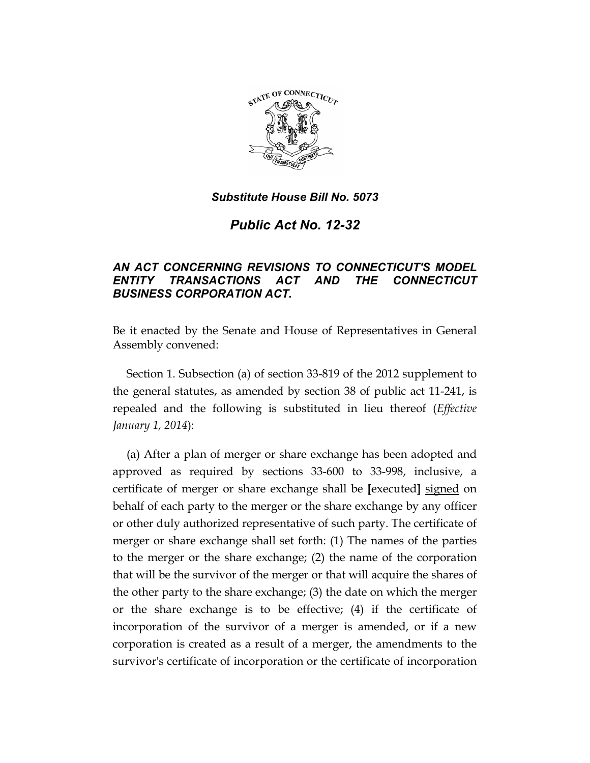

*Public Act No. 12-32* 

# *AN ACT CONCERNING REVISIONS TO CONNECTICUT'S MODEL ENTITY TRANSACTIONS ACT AND THE CONNECTICUT BUSINESS CORPORATION ACT.*

Be it enacted by the Senate and House of Representatives in General Assembly convened:

Section 1. Subsection (a) of section 33-819 of the 2012 supplement to the general statutes, as amended by section 38 of public act 11-241, is repealed and the following is substituted in lieu thereof (*Effective January 1, 2014*):

(a) After a plan of merger or share exchange has been adopted and approved as required by sections 33-600 to 33-998, inclusive, a certificate of merger or share exchange shall be **[**executed**]** signed on behalf of each party to the merger or the share exchange by any officer or other duly authorized representative of such party. The certificate of merger or share exchange shall set forth: (1) The names of the parties to the merger or the share exchange; (2) the name of the corporation that will be the survivor of the merger or that will acquire the shares of the other party to the share exchange; (3) the date on which the merger or the share exchange is to be effective; (4) if the certificate of incorporation of the survivor of a merger is amended, or if a new corporation is created as a result of a merger, the amendments to the survivor's certificate of incorporation or the certificate of incorporation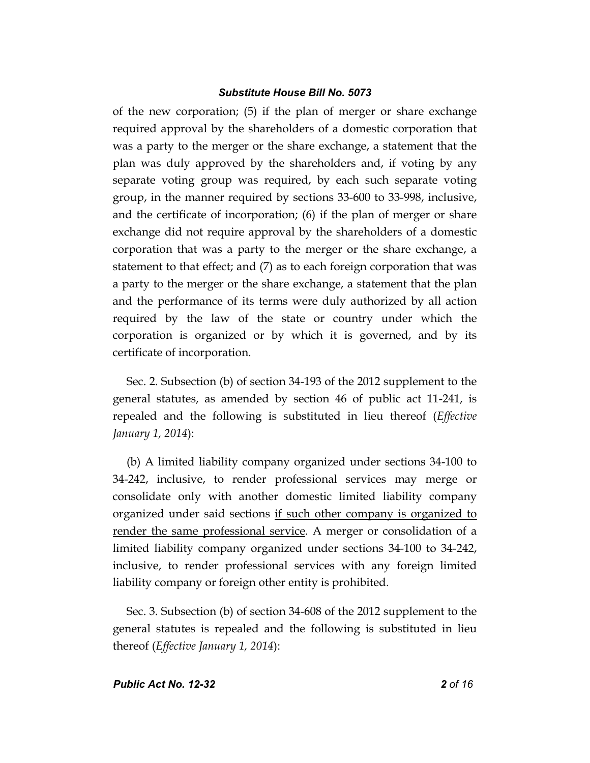of the new corporation; (5) if the plan of merger or share exchange required approval by the shareholders of a domestic corporation that was a party to the merger or the share exchange, a statement that the plan was duly approved by the shareholders and, if voting by any separate voting group was required, by each such separate voting group, in the manner required by sections 33-600 to 33-998, inclusive, and the certificate of incorporation; (6) if the plan of merger or share exchange did not require approval by the shareholders of a domestic corporation that was a party to the merger or the share exchange, a statement to that effect; and (7) as to each foreign corporation that was a party to the merger or the share exchange, a statement that the plan and the performance of its terms were duly authorized by all action required by the law of the state or country under which the corporation is organized or by which it is governed, and by its certificate of incorporation.

Sec. 2. Subsection (b) of section 34-193 of the 2012 supplement to the general statutes, as amended by section 46 of public act 11-241, is repealed and the following is substituted in lieu thereof (*Effective January 1, 2014*):

(b) A limited liability company organized under sections 34-100 to 34-242, inclusive, to render professional services may merge or consolidate only with another domestic limited liability company organized under said sections if such other company is organized to render the same professional service. A merger or consolidation of a limited liability company organized under sections 34-100 to 34-242, inclusive, to render professional services with any foreign limited liability company or foreign other entity is prohibited.

Sec. 3. Subsection (b) of section 34-608 of the 2012 supplement to the general statutes is repealed and the following is substituted in lieu thereof (*Effective January 1, 2014*):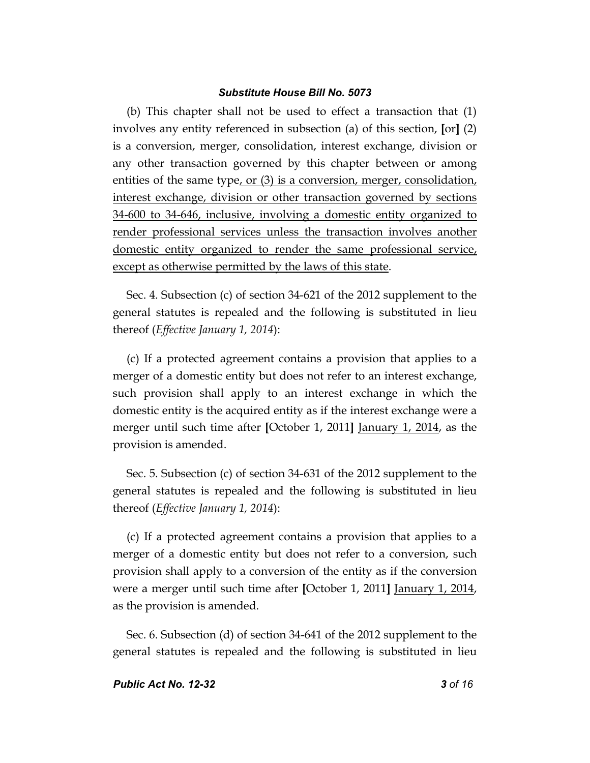(b) This chapter shall not be used to effect a transaction that (1) involves any entity referenced in subsection (a) of this section, **[**or**]** (2) is a conversion, merger, consolidation, interest exchange, division or any other transaction governed by this chapter between or among entities of the same type, or (3) is a conversion, merger, consolidation, interest exchange, division or other transaction governed by sections 34-600 to 34-646, inclusive, involving a domestic entity organized to render professional services unless the transaction involves another domestic entity organized to render the same professional service, except as otherwise permitted by the laws of this state.

Sec. 4. Subsection (c) of section 34-621 of the 2012 supplement to the general statutes is repealed and the following is substituted in lieu thereof (*Effective January 1, 2014*):

(c) If a protected agreement contains a provision that applies to a merger of a domestic entity but does not refer to an interest exchange, such provision shall apply to an interest exchange in which the domestic entity is the acquired entity as if the interest exchange were a merger until such time after **[**October 1, 2011**]** January 1, 2014, as the provision is amended.

Sec. 5. Subsection (c) of section 34-631 of the 2012 supplement to the general statutes is repealed and the following is substituted in lieu thereof (*Effective January 1, 2014*):

(c) If a protected agreement contains a provision that applies to a merger of a domestic entity but does not refer to a conversion, such provision shall apply to a conversion of the entity as if the conversion were a merger until such time after **[**October 1, 2011**]** January 1, 2014, as the provision is amended.

Sec. 6. Subsection (d) of section 34-641 of the 2012 supplement to the general statutes is repealed and the following is substituted in lieu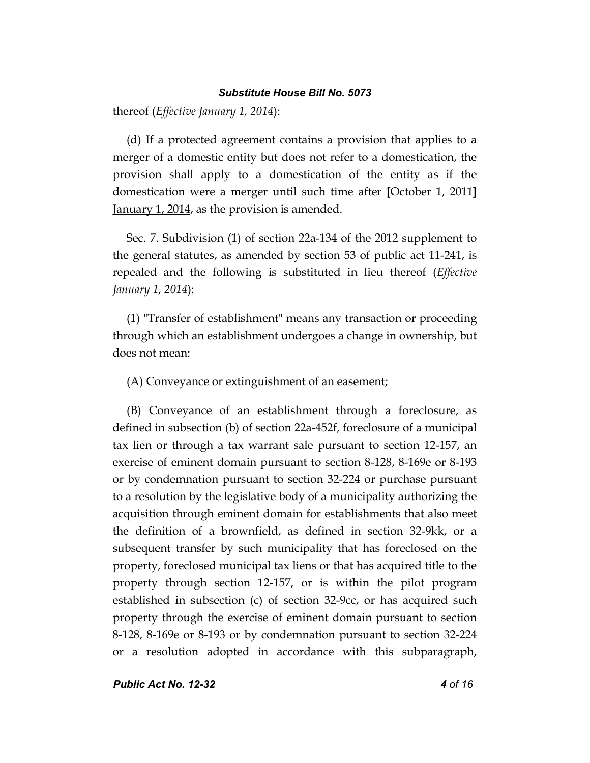thereof (*Effective January 1, 2014*):

(d) If a protected agreement contains a provision that applies to a merger of a domestic entity but does not refer to a domestication, the provision shall apply to a domestication of the entity as if the domestication were a merger until such time after **[**October 1, 2011**]** January 1, 2014, as the provision is amended.

Sec. 7. Subdivision (1) of section 22a-134 of the 2012 supplement to the general statutes, as amended by section 53 of public act 11-241, is repealed and the following is substituted in lieu thereof (*Effective January 1, 2014*):

(1) "Transfer of establishment" means any transaction or proceeding through which an establishment undergoes a change in ownership, but does not mean:

(A) Conveyance or extinguishment of an easement;

(B) Conveyance of an establishment through a foreclosure, as defined in subsection (b) of section 22a-452f, foreclosure of a municipal tax lien or through a tax warrant sale pursuant to section 12-157, an exercise of eminent domain pursuant to section 8-128, 8-169e or 8-193 or by condemnation pursuant to section 32-224 or purchase pursuant to a resolution by the legislative body of a municipality authorizing the acquisition through eminent domain for establishments that also meet the definition of a brownfield, as defined in section 32-9kk, or a subsequent transfer by such municipality that has foreclosed on the property, foreclosed municipal tax liens or that has acquired title to the property through section 12-157, or is within the pilot program established in subsection (c) of section 32-9cc, or has acquired such property through the exercise of eminent domain pursuant to section 8-128, 8-169e or 8-193 or by condemnation pursuant to section 32-224 or a resolution adopted in accordance with this subparagraph,

*Public Act No. 12-32 4 of 16*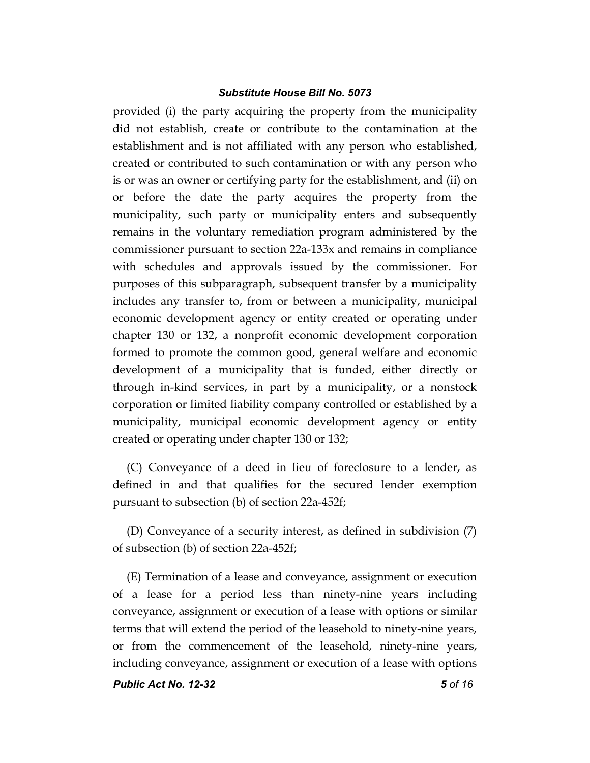provided (i) the party acquiring the property from the municipality did not establish, create or contribute to the contamination at the establishment and is not affiliated with any person who established, created or contributed to such contamination or with any person who is or was an owner or certifying party for the establishment, and (ii) on or before the date the party acquires the property from the municipality, such party or municipality enters and subsequently remains in the voluntary remediation program administered by the commissioner pursuant to section 22a-133x and remains in compliance with schedules and approvals issued by the commissioner. For purposes of this subparagraph, subsequent transfer by a municipality includes any transfer to, from or between a municipality, municipal economic development agency or entity created or operating under chapter 130 or 132, a nonprofit economic development corporation formed to promote the common good, general welfare and economic development of a municipality that is funded, either directly or through in-kind services, in part by a municipality, or a nonstock corporation or limited liability company controlled or established by a municipality, municipal economic development agency or entity created or operating under chapter 130 or 132;

(C) Conveyance of a deed in lieu of foreclosure to a lender, as defined in and that qualifies for the secured lender exemption pursuant to subsection (b) of section 22a-452f;

(D) Conveyance of a security interest, as defined in subdivision (7) of subsection (b) of section 22a-452f;

(E) Termination of a lease and conveyance, assignment or execution of a lease for a period less than ninety-nine years including conveyance, assignment or execution of a lease with options or similar terms that will extend the period of the leasehold to ninety-nine years, or from the commencement of the leasehold, ninety-nine years, including conveyance, assignment or execution of a lease with options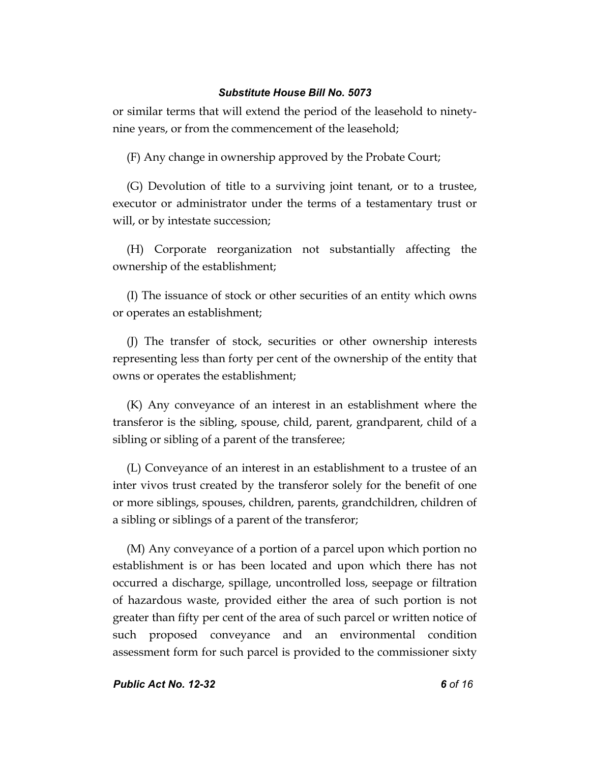or similar terms that will extend the period of the leasehold to ninetynine years, or from the commencement of the leasehold;

(F) Any change in ownership approved by the Probate Court;

(G) Devolution of title to a surviving joint tenant, or to a trustee, executor or administrator under the terms of a testamentary trust or will, or by intestate succession;

(H) Corporate reorganization not substantially affecting the ownership of the establishment;

(I) The issuance of stock or other securities of an entity which owns or operates an establishment;

(J) The transfer of stock, securities or other ownership interests representing less than forty per cent of the ownership of the entity that owns or operates the establishment;

(K) Any conveyance of an interest in an establishment where the transferor is the sibling, spouse, child, parent, grandparent, child of a sibling or sibling of a parent of the transferee;

(L) Conveyance of an interest in an establishment to a trustee of an inter vivos trust created by the transferor solely for the benefit of one or more siblings, spouses, children, parents, grandchildren, children of a sibling or siblings of a parent of the transferor;

(M) Any conveyance of a portion of a parcel upon which portion no establishment is or has been located and upon which there has not occurred a discharge, spillage, uncontrolled loss, seepage or filtration of hazardous waste, provided either the area of such portion is not greater than fifty per cent of the area of such parcel or written notice of such proposed conveyance and an environmental condition assessment form for such parcel is provided to the commissioner sixty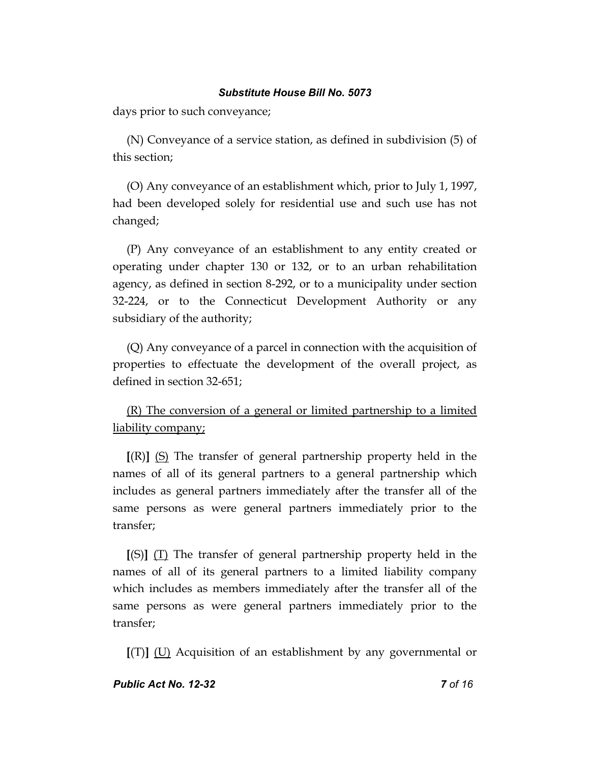days prior to such conveyance;

(N) Conveyance of a service station, as defined in subdivision (5) of this section;

(O) Any conveyance of an establishment which, prior to July 1, 1997, had been developed solely for residential use and such use has not changed;

(P) Any conveyance of an establishment to any entity created or operating under chapter 130 or 132, or to an urban rehabilitation agency, as defined in section 8-292, or to a municipality under section 32-224, or to the Connecticut Development Authority or any subsidiary of the authority;

(Q) Any conveyance of a parcel in connection with the acquisition of properties to effectuate the development of the overall project, as defined in section 32-651;

(R) The conversion of a general or limited partnership to a limited liability company;

**[**(R)**]** (S) The transfer of general partnership property held in the names of all of its general partners to a general partnership which includes as general partners immediately after the transfer all of the same persons as were general partners immediately prior to the transfer;

**[**(S)**]** (T) The transfer of general partnership property held in the names of all of its general partners to a limited liability company which includes as members immediately after the transfer all of the same persons as were general partners immediately prior to the transfer;

**[**(T)**]** (U) Acquisition of an establishment by any governmental or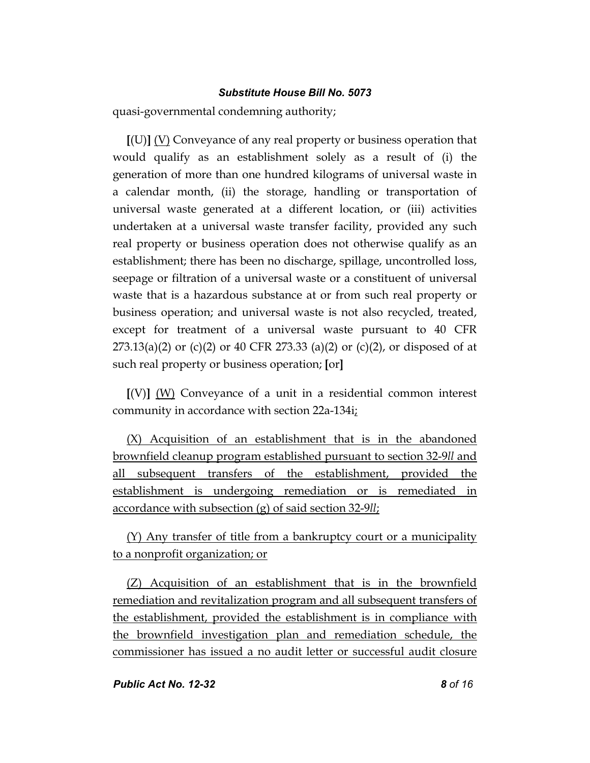quasi-governmental condemning authority;

**[**(U)**]** (V) Conveyance of any real property or business operation that would qualify as an establishment solely as a result of (i) the generation of more than one hundred kilograms of universal waste in a calendar month, (ii) the storage, handling or transportation of universal waste generated at a different location, or (iii) activities undertaken at a universal waste transfer facility, provided any such real property or business operation does not otherwise qualify as an establishment; there has been no discharge, spillage, uncontrolled loss, seepage or filtration of a universal waste or a constituent of universal waste that is a hazardous substance at or from such real property or business operation; and universal waste is not also recycled, treated, except for treatment of a universal waste pursuant to 40 CFR  $273.13(a)(2)$  or (c)(2) or 40 CFR 273.33 (a)(2) or (c)(2), or disposed of at such real property or business operation; **[**or**]**

**[**(V)**]** (W) Conveyance of a unit in a residential common interest community in accordance with section 22a-134i;

(X) Acquisition of an establishment that is in the abandoned brownfield cleanup program established pursuant to section 32-9*ll* and all subsequent transfers of the establishment, provided the establishment is undergoing remediation or is remediated in accordance with subsection (g) of said section 32-9*ll*;

(Y) Any transfer of title from a bankruptcy court or a municipality to a nonprofit organization; or

(Z) Acquisition of an establishment that is in the brownfield remediation and revitalization program and all subsequent transfers of the establishment, provided the establishment is in compliance with the brownfield investigation plan and remediation schedule, the commissioner has issued a no audit letter or successful audit closure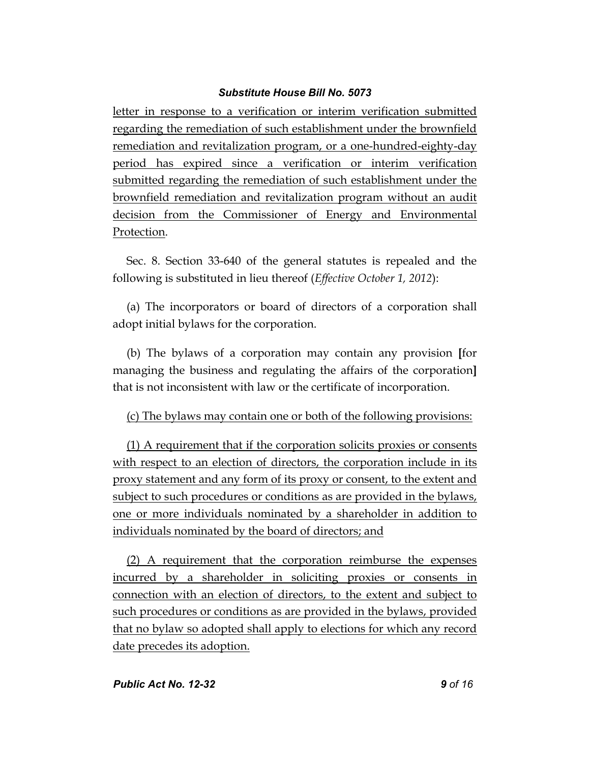letter in response to a verification or interim verification submitted regarding the remediation of such establishment under the brownfield remediation and revitalization program, or a one-hundred-eighty-day period has expired since a verification or interim verification submitted regarding the remediation of such establishment under the brownfield remediation and revitalization program without an audit decision from the Commissioner of Energy and Environmental Protection.

Sec. 8. Section 33-640 of the general statutes is repealed and the following is substituted in lieu thereof (*Effective October 1, 2012*):

(a) The incorporators or board of directors of a corporation shall adopt initial bylaws for the corporation.

(b) The bylaws of a corporation may contain any provision **[**for managing the business and regulating the affairs of the corporation**]** that is not inconsistent with law or the certificate of incorporation.

# (c) The bylaws may contain one or both of the following provisions:

(1) A requirement that if the corporation solicits proxies or consents with respect to an election of directors, the corporation include in its proxy statement and any form of its proxy or consent, to the extent and subject to such procedures or conditions as are provided in the bylaws, one or more individuals nominated by a shareholder in addition to individuals nominated by the board of directors; and

(2) A requirement that the corporation reimburse the expenses incurred by a shareholder in soliciting proxies or consents in connection with an election of directors, to the extent and subject to such procedures or conditions as are provided in the bylaws, provided that no bylaw so adopted shall apply to elections for which any record date precedes its adoption.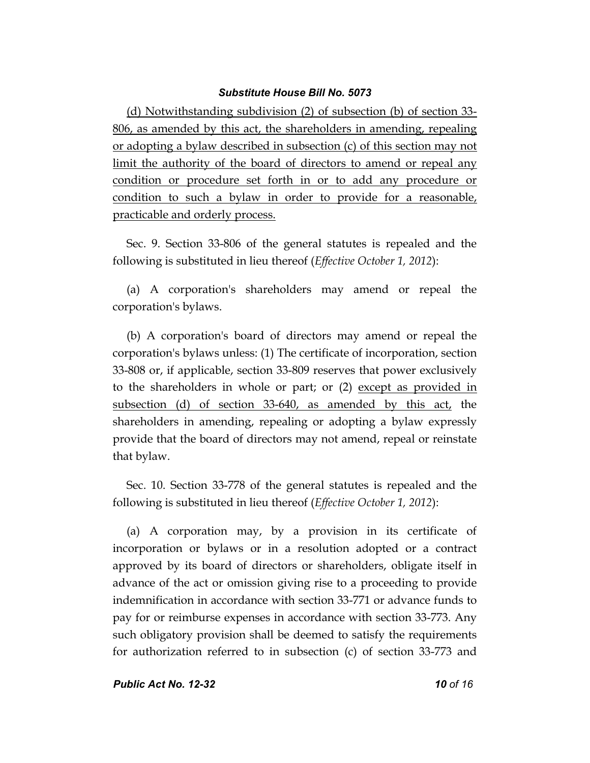(d) Notwithstanding subdivision (2) of subsection (b) of section 33- 806, as amended by this act, the shareholders in amending, repealing or adopting a bylaw described in subsection (c) of this section may not limit the authority of the board of directors to amend or repeal any condition or procedure set forth in or to add any procedure or condition to such a bylaw in order to provide for a reasonable, practicable and orderly process.

Sec. 9. Section 33-806 of the general statutes is repealed and the following is substituted in lieu thereof (*Effective October 1, 2012*):

(a) A corporation's shareholders may amend or repeal the corporation's bylaws.

(b) A corporation's board of directors may amend or repeal the corporation's bylaws unless: (1) The certificate of incorporation, section 33-808 or, if applicable, section 33-809 reserves that power exclusively to the shareholders in whole or part; or (2) except as provided in subsection (d) of section 33-640, as amended by this act, the shareholders in amending, repealing or adopting a bylaw expressly provide that the board of directors may not amend, repeal or reinstate that bylaw.

Sec. 10. Section 33-778 of the general statutes is repealed and the following is substituted in lieu thereof (*Effective October 1, 2012*):

(a) A corporation may, by a provision in its certificate of incorporation or bylaws or in a resolution adopted or a contract approved by its board of directors or shareholders, obligate itself in advance of the act or omission giving rise to a proceeding to provide indemnification in accordance with section 33-771 or advance funds to pay for or reimburse expenses in accordance with section 33-773. Any such obligatory provision shall be deemed to satisfy the requirements for authorization referred to in subsection (c) of section 33-773 and

*Public Act No. 12-32 10 of 16*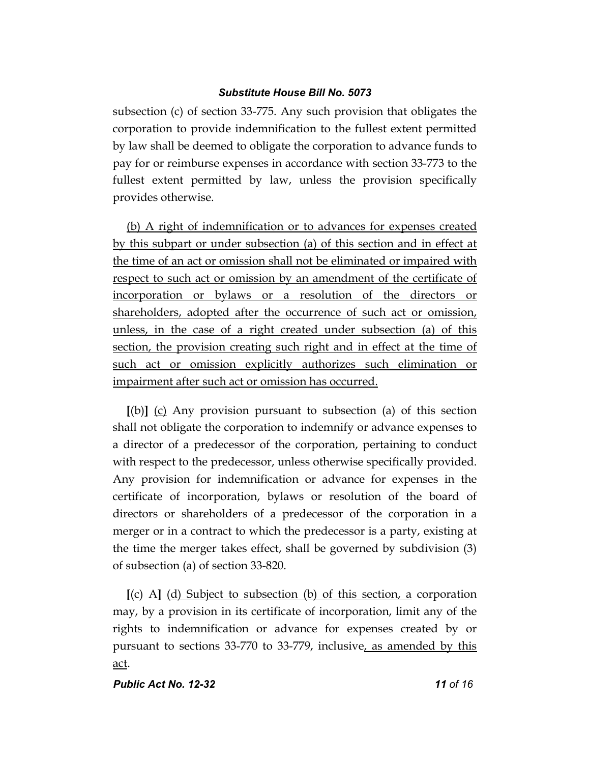subsection (c) of section 33-775. Any such provision that obligates the corporation to provide indemnification to the fullest extent permitted by law shall be deemed to obligate the corporation to advance funds to pay for or reimburse expenses in accordance with section 33-773 to the fullest extent permitted by law, unless the provision specifically provides otherwise.

(b) A right of indemnification or to advances for expenses created by this subpart or under subsection (a) of this section and in effect at the time of an act or omission shall not be eliminated or impaired with respect to such act or omission by an amendment of the certificate of incorporation or bylaws or a resolution of the directors or shareholders, adopted after the occurrence of such act or omission, unless, in the case of a right created under subsection (a) of this section, the provision creating such right and in effect at the time of such act or omission explicitly authorizes such elimination or impairment after such act or omission has occurred.

**[**(b)**]** (c) Any provision pursuant to subsection (a) of this section shall not obligate the corporation to indemnify or advance expenses to a director of a predecessor of the corporation, pertaining to conduct with respect to the predecessor, unless otherwise specifically provided. Any provision for indemnification or advance for expenses in the certificate of incorporation, bylaws or resolution of the board of directors or shareholders of a predecessor of the corporation in a merger or in a contract to which the predecessor is a party, existing at the time the merger takes effect, shall be governed by subdivision (3) of subsection (a) of section 33-820.

**[**(c) A**]** (d) Subject to subsection (b) of this section, a corporation may, by a provision in its certificate of incorporation, limit any of the rights to indemnification or advance for expenses created by or pursuant to sections 33-770 to 33-779, inclusive, as amended by this act.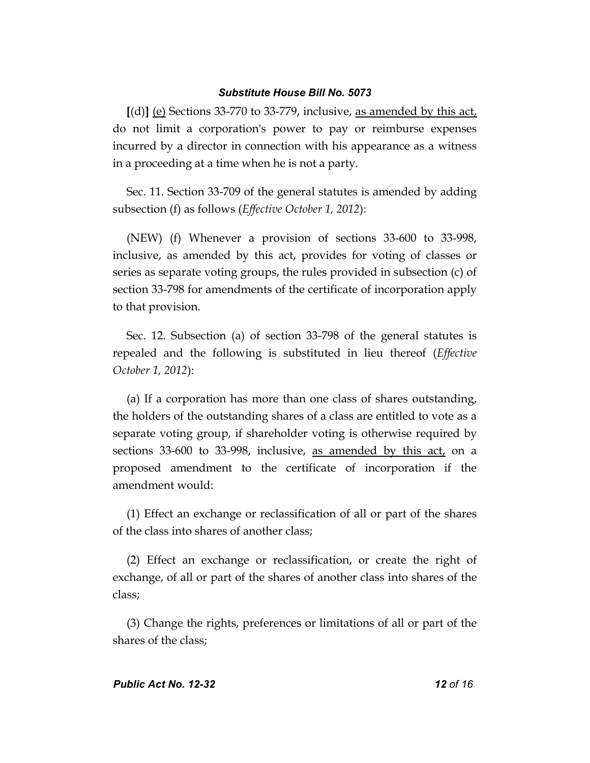**[**(d)**]** (e) Sections 33-770 to 33-779, inclusive, as amended by this act, do not limit a corporation's power to pay or reimburse expenses incurred by a director in connection with his appearance as a witness in a proceeding at a time when he is not a party.

Sec. 11. Section 33-709 of the general statutes is amended by adding subsection (f) as follows (*Effective October 1, 2012*):

(NEW) (f) Whenever a provision of sections 33-600 to 33-998, inclusive, as amended by this act, provides for voting of classes or series as separate voting groups, the rules provided in subsection (c) of section 33-798 for amendments of the certificate of incorporation apply to that provision.

Sec. 12. Subsection (a) of section 33-798 of the general statutes is repealed and the following is substituted in lieu thereof (*Effective October 1, 2012*):

(a) If a corporation has more than one class of shares outstanding, the holders of the outstanding shares of a class are entitled to vote as a separate voting group, if shareholder voting is otherwise required by sections 33-600 to 33-998, inclusive, as amended by this act, on a proposed amendment to the certificate of incorporation if the amendment would:

(1) Effect an exchange or reclassification of all or part of the shares of the class into shares of another class;

(2) Effect an exchange or reclassification, or create the right of exchange, of all or part of the shares of another class into shares of the class;

(3) Change the rights, preferences or limitations of all or part of the shares of the class;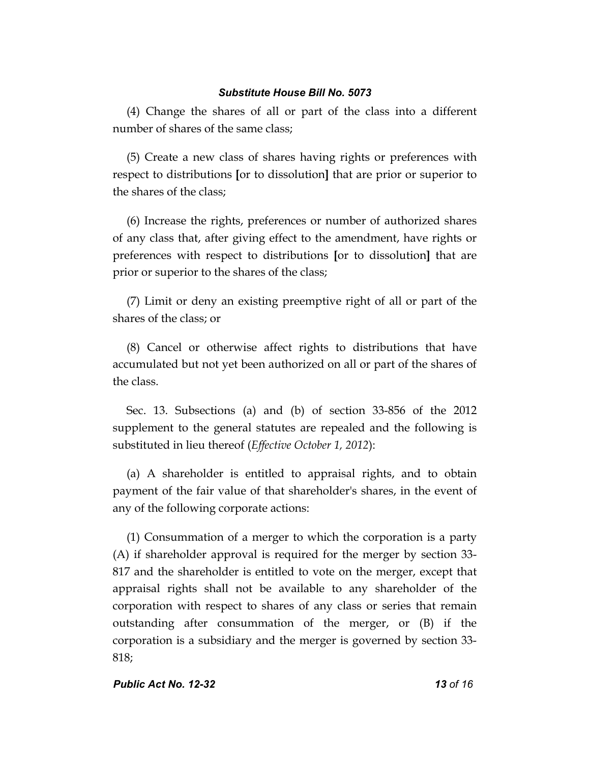(4) Change the shares of all or part of the class into a different number of shares of the same class;

(5) Create a new class of shares having rights or preferences with respect to distributions **[**or to dissolution**]** that are prior or superior to the shares of the class;

(6) Increase the rights, preferences or number of authorized shares of any class that, after giving effect to the amendment, have rights or preferences with respect to distributions **[**or to dissolution**]** that are prior or superior to the shares of the class;

(7) Limit or deny an existing preemptive right of all or part of the shares of the class; or

(8) Cancel or otherwise affect rights to distributions that have accumulated but not yet been authorized on all or part of the shares of the class.

Sec. 13. Subsections (a) and (b) of section 33-856 of the 2012 supplement to the general statutes are repealed and the following is substituted in lieu thereof (*Effective October 1, 2012*):

(a) A shareholder is entitled to appraisal rights, and to obtain payment of the fair value of that shareholder's shares, in the event of any of the following corporate actions:

(1) Consummation of a merger to which the corporation is a party (A) if shareholder approval is required for the merger by section 33- 817 and the shareholder is entitled to vote on the merger, except that appraisal rights shall not be available to any shareholder of the corporation with respect to shares of any class or series that remain outstanding after consummation of the merger, or (B) if the corporation is a subsidiary and the merger is governed by section 33- 818;

### *Public Act No. 12-32 13 of 16*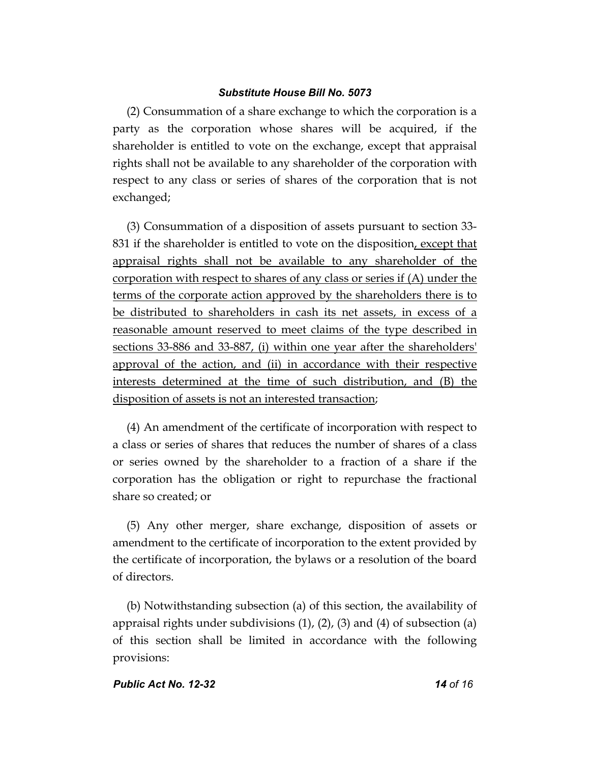(2) Consummation of a share exchange to which the corporation is a party as the corporation whose shares will be acquired, if the shareholder is entitled to vote on the exchange, except that appraisal rights shall not be available to any shareholder of the corporation with respect to any class or series of shares of the corporation that is not exchanged;

(3) Consummation of a disposition of assets pursuant to section 33- 831 if the shareholder is entitled to vote on the disposition, except that appraisal rights shall not be available to any shareholder of the corporation with respect to shares of any class or series if (A) under the terms of the corporate action approved by the shareholders there is to be distributed to shareholders in cash its net assets, in excess of a reasonable amount reserved to meet claims of the type described in sections 33-886 and 33-887, (i) within one year after the shareholders' approval of the action, and (ii) in accordance with their respective interests determined at the time of such distribution, and (B) the disposition of assets is not an interested transaction;

(4) An amendment of the certificate of incorporation with respect to a class or series of shares that reduces the number of shares of a class or series owned by the shareholder to a fraction of a share if the corporation has the obligation or right to repurchase the fractional share so created; or

(5) Any other merger, share exchange, disposition of assets or amendment to the certificate of incorporation to the extent provided by the certificate of incorporation, the bylaws or a resolution of the board of directors.

(b) Notwithstanding subsection (a) of this section, the availability of appraisal rights under subdivisions  $(1)$ ,  $(2)$ ,  $(3)$  and  $(4)$  of subsection  $(a)$ of this section shall be limited in accordance with the following provisions: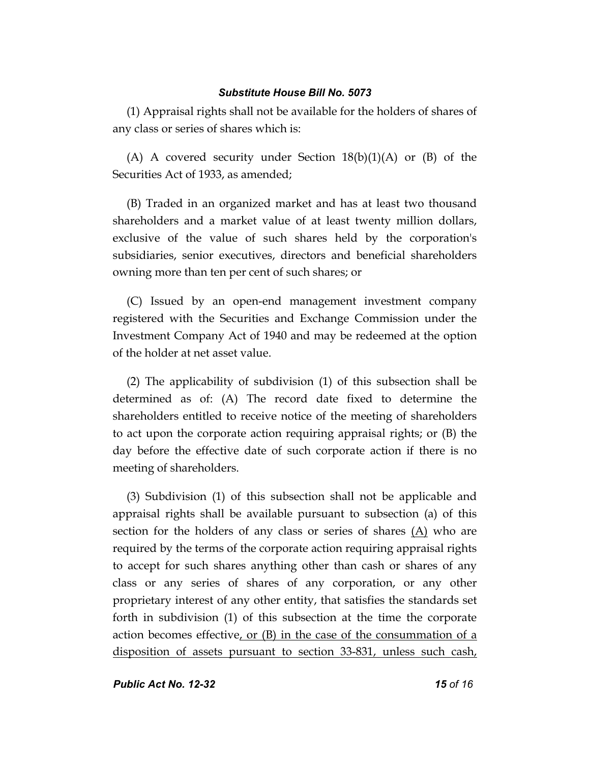(1) Appraisal rights shall not be available for the holders of shares of any class or series of shares which is:

(A) A covered security under Section  $18(b)(1)(A)$  or (B) of the Securities Act of 1933, as amended;

(B) Traded in an organized market and has at least two thousand shareholders and a market value of at least twenty million dollars, exclusive of the value of such shares held by the corporation's subsidiaries, senior executives, directors and beneficial shareholders owning more than ten per cent of such shares; or

(C) Issued by an open-end management investment company registered with the Securities and Exchange Commission under the Investment Company Act of 1940 and may be redeemed at the option of the holder at net asset value.

(2) The applicability of subdivision (1) of this subsection shall be determined as of: (A) The record date fixed to determine the shareholders entitled to receive notice of the meeting of shareholders to act upon the corporate action requiring appraisal rights; or (B) the day before the effective date of such corporate action if there is no meeting of shareholders.

(3) Subdivision (1) of this subsection shall not be applicable and appraisal rights shall be available pursuant to subsection (a) of this section for the holders of any class or series of shares (A) who are required by the terms of the corporate action requiring appraisal rights to accept for such shares anything other than cash or shares of any class or any series of shares of any corporation, or any other proprietary interest of any other entity, that satisfies the standards set forth in subdivision (1) of this subsection at the time the corporate action becomes effective, or  $(B)$  in the case of the consummation of a disposition of assets pursuant to section 33-831, unless such cash,